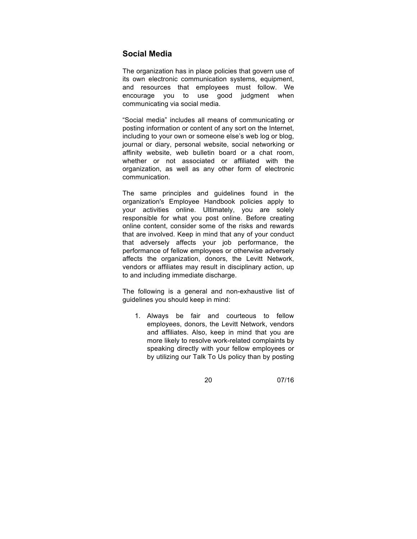## **Social Media**

The organization has in place policies that govern use of its own electronic communication systems, equipment, and resources that employees must follow. We encourage you to use good judgment when communicating via social media.

"Social media" includes all means of communicating or posting information or content of any sort on the Internet, including to your own or someone else's web log or blog, journal or diary, personal website, social networking or affinity website, web bulletin board or a chat room, whether or not associated or affiliated with the organization, as well as any other form of electronic communication.

The same principles and guidelines found in the organization's Employee Handbook policies apply to your activities online. Ultimately, you are solely responsible for what you post online. Before creating online content, consider some of the risks and rewards that are involved. Keep in mind that any of your conduct that adversely affects your job performance, the performance of fellow employees or otherwise adversely affects the organization, donors, the Levitt Network, vendors or affiliates may result in disciplinary action, up to and including immediate discharge.

The following is a general and non-exhaustive list of guidelines you should keep in mind:

1. Always be fair and courteous to fellow employees, donors, the Levitt Network, vendors and affiliates. Also, keep in mind that you are more likely to resolve work-related complaints by speaking directly with your fellow employees or by utilizing our Talk To Us policy than by posting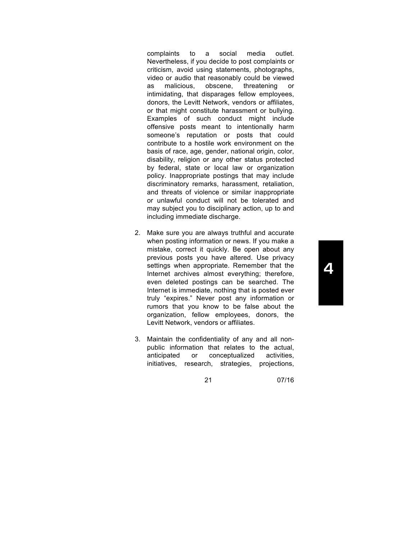complaints to a social media outlet. Nevertheless, if you decide to post complaints or criticism, avoid using statements, photographs, video or audio that reasonably could be viewed as malicious, obscene, threatening or intimidating, that disparages fellow employees, donors, the Levitt Network, vendors or affiliates, or that might constitute harassment or bullying. Examples of such conduct might include offensive posts meant to intentionally harm someone's reputation or posts that could contribute to a hostile work environment on the basis of race, age, gender, national origin, color, disability, religion or any other status protected by federal, state or local law or organization policy. Inappropriate postings that may include discriminatory remarks, harassment, retaliation, and threats of violence or similar inappropriate or unlawful conduct will not be tolerated and may subject you to disciplinary action, up to and including immediate discharge.

- 2. Make sure you are always truthful and accurate when posting information or news. If you make a mistake, correct it quickly. Be open about any previous posts you have altered. Use privacy settings when appropriate. Remember that the Internet archives almost everything; therefore, even deleted postings can be searched. The Internet is immediate, nothing that is posted ever truly "expires." Never post any information or rumors that you know to be false about the organization, fellow employees, donors, the Levitt Network, vendors or affiliates.
- 3. Maintain the confidentiality of any and all nonpublic information that relates to the actual, anticipated or conceptualized activities, initiatives, research, strategies, projections,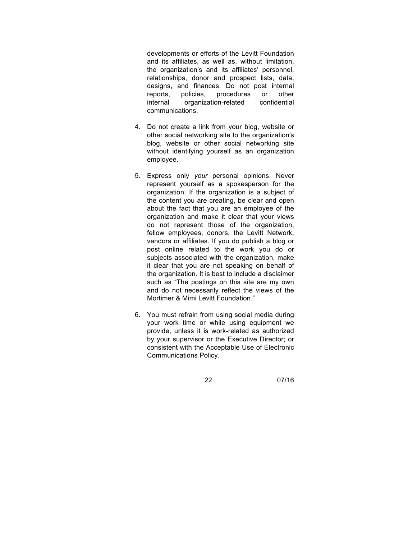developments or efforts of the Levitt Foundation and its affiliates, as well as, without limitation, the organization's and its affiliates' personnel, relationships, donor and prospect lists, data, designs, and finances. Do not post internal reports, policies, procedures or other internal organization-related confidential communications.

- 4. Do not create a link from your blog, website or other social networking site to the organization's blog, website or other social networking site without identifying yourself as an organization employee.
- 5. Express only *your* personal opinions. Never represent yourself as a spokesperson for the organization. If the organization is a subject of the content you are creating, be clear and open about the fact that you are an employee of the organization and make it clear that your views do not represent those of the organization, fellow employees, donors, the Levitt Network, vendors or affiliates. If you do publish a blog or post online related to the work you do or subjects associated with the organization, make it clear that you are not speaking on behalf of the organization. It is best to include a disclaimer such as "The postings on this site are my own and do not necessarily reflect the views of the Mortimer & Mimi Levitt Foundation."
- 6. You must refrain from using social media during your work time or while using equipment we provide, unless it is work-related as authorized by your supervisor or the Executive Director; or consistent with the Acceptable Use of Electronic Communications Policy.